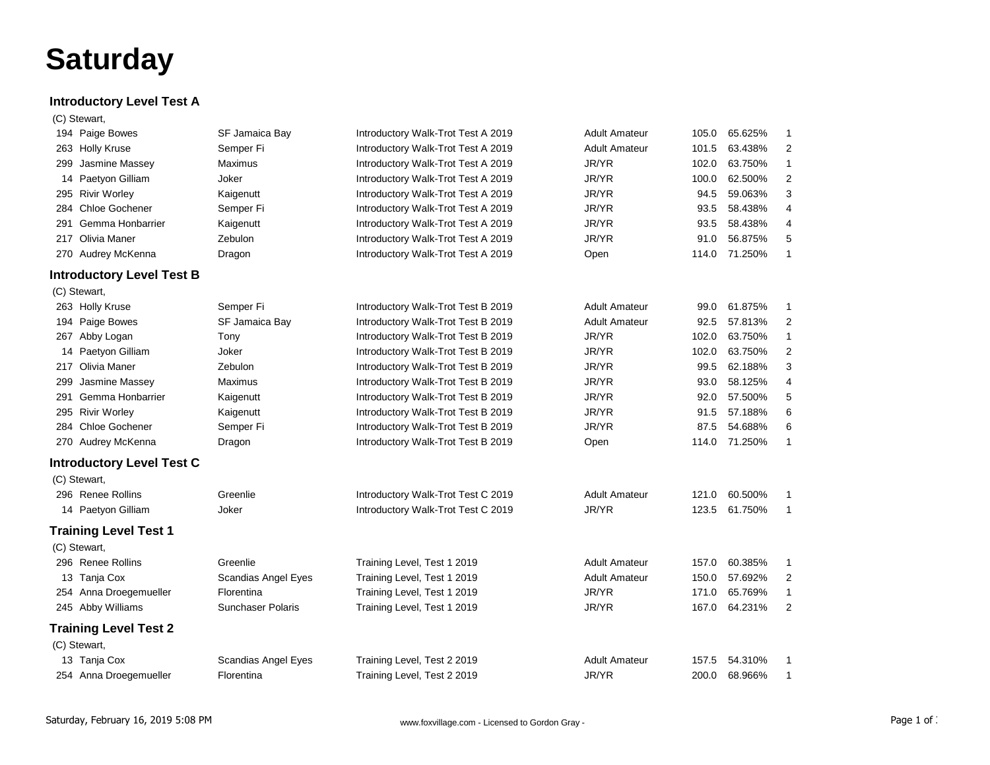## **Saturday**

## **Introductory Level Test A**

|     | (C) Stewart,                     |                            |                                    |                      |       |         |                |
|-----|----------------------------------|----------------------------|------------------------------------|----------------------|-------|---------|----------------|
|     | 194 Paige Bowes                  | SF Jamaica Bay             | Introductory Walk-Trot Test A 2019 | <b>Adult Amateur</b> | 105.0 | 65.625% | $\mathbf{1}$   |
|     | 263 Holly Kruse                  | Semper Fi                  | Introductory Walk-Trot Test A 2019 | <b>Adult Amateur</b> | 101.5 | 63.438% | 2              |
| 299 | Jasmine Massey                   | Maximus                    | Introductory Walk-Trot Test A 2019 | JR/YR                | 102.0 | 63.750% | $\mathbf{1}$   |
|     | 14 Paetyon Gilliam               | Joker                      | Introductory Walk-Trot Test A 2019 | JR/YR                | 100.0 | 62.500% | $\overline{c}$ |
|     | 295 Rivir Worley                 | Kaigenutt                  | Introductory Walk-Trot Test A 2019 | JR/YR                | 94.5  | 59.063% | 3              |
| 284 | <b>Chloe Gochener</b>            | Semper Fi                  | Introductory Walk-Trot Test A 2019 | JR/YR                | 93.5  | 58.438% | 4              |
| 291 | Gemma Honbarrier                 | Kaigenutt                  | Introductory Walk-Trot Test A 2019 | JR/YR                | 93.5  | 58.438% | 4              |
| 217 | Olivia Maner                     | Zebulon                    | Introductory Walk-Trot Test A 2019 | JR/YR                | 91.0  | 56.875% | 5              |
|     | 270 Audrey McKenna               | Dragon                     | Introductory Walk-Trot Test A 2019 | Open                 | 114.0 | 71.250% | $\mathbf{1}$   |
|     | <b>Introductory Level Test B</b> |                            |                                    |                      |       |         |                |
|     | (C) Stewart,                     |                            |                                    |                      |       |         |                |
|     | 263 Holly Kruse                  | Semper Fi                  | Introductory Walk-Trot Test B 2019 | <b>Adult Amateur</b> | 99.0  | 61.875% | 1              |
|     | 194 Paige Bowes                  | SF Jamaica Bay             | Introductory Walk-Trot Test B 2019 | <b>Adult Amateur</b> | 92.5  | 57.813% | $\overline{2}$ |
|     | 267 Abby Logan                   | Tony                       | Introductory Walk-Trot Test B 2019 | JR/YR                | 102.0 | 63.750% | 1              |
|     | 14 Paetyon Gilliam               | Joker                      | Introductory Walk-Trot Test B 2019 | JR/YR                | 102.0 | 63.750% | 2              |
|     | 217 Olivia Maner                 | Zebulon                    | Introductory Walk-Trot Test B 2019 | JR/YR                | 99.5  | 62.188% | 3              |
| 299 | Jasmine Massey                   | Maximus                    | Introductory Walk-Trot Test B 2019 | JR/YR                | 93.0  | 58.125% | 4              |
| 291 | Gemma Honbarrier                 | Kaigenutt                  | Introductory Walk-Trot Test B 2019 | JR/YR                | 92.0  | 57.500% | 5              |
|     | 295 Rivir Worley                 | Kaigenutt                  | Introductory Walk-Trot Test B 2019 | JR/YR                | 91.5  | 57.188% | 6              |
| 284 | <b>Chloe Gochener</b>            | Semper Fi                  | Introductory Walk-Trot Test B 2019 | JR/YR                | 87.5  | 54.688% | 6              |
|     | 270 Audrey McKenna               | Dragon                     | Introductory Walk-Trot Test B 2019 | Open                 | 114.0 | 71.250% | $\mathbf{1}$   |
|     | <b>Introductory Level Test C</b> |                            |                                    |                      |       |         |                |
|     | (C) Stewart,                     |                            |                                    |                      |       |         |                |
|     | 296 Renee Rollins                | Greenlie                   | Introductory Walk-Trot Test C 2019 | <b>Adult Amateur</b> | 121.0 | 60.500% | 1              |
|     | 14 Paetyon Gilliam               | Joker                      | Introductory Walk-Trot Test C 2019 | JR/YR                | 123.5 | 61.750% | 1              |
|     | <b>Training Level Test 1</b>     |                            |                                    |                      |       |         |                |
|     | (C) Stewart,                     |                            |                                    |                      |       |         |                |
|     | 296 Renee Rollins                | Greenlie                   | Training Level, Test 1 2019        | <b>Adult Amateur</b> | 157.0 | 60.385% | 1              |
|     | 13 Tanja Cox                     | Scandias Angel Eyes        | Training Level, Test 1 2019        | <b>Adult Amateur</b> | 150.0 | 57.692% | $\overline{c}$ |
|     | 254 Anna Droegemueller           | Florentina                 | Training Level, Test 1 2019        | JR/YR                | 171.0 | 65.769% | $\mathbf{1}$   |
|     | 245 Abby Williams                | <b>Sunchaser Polaris</b>   | Training Level, Test 1 2019        | JR/YR                | 167.0 | 64.231% | $\overline{2}$ |
|     | <b>Training Level Test 2</b>     |                            |                                    |                      |       |         |                |
|     | (C) Stewart,                     |                            |                                    |                      |       |         |                |
|     | 13 Tanja Cox                     | <b>Scandias Angel Eyes</b> | Training Level, Test 2 2019        | <b>Adult Amateur</b> | 157.5 | 54.310% | 1              |
|     | 254 Anna Droegemueller           | Florentina                 | Training Level, Test 2 2019        | JR/YR                | 200.0 | 68.966% | 1              |
|     |                                  |                            |                                    |                      |       |         |                |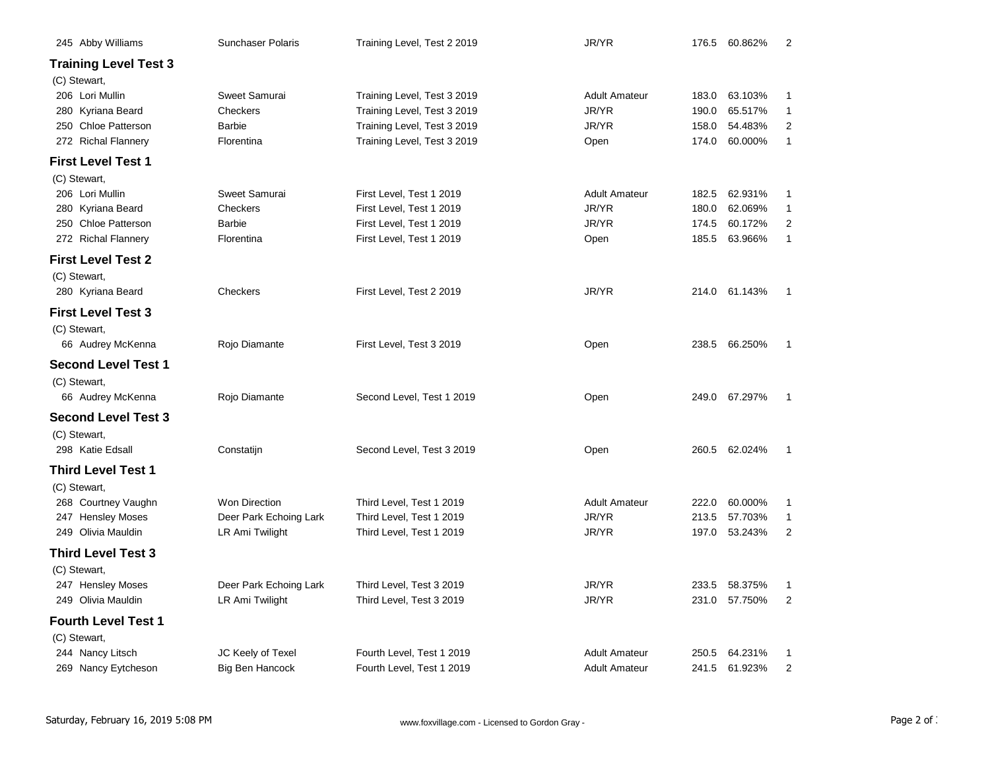| 245 Abby Williams            | Sunchaser Polaris      | Training Level, Test 2 2019 | JR/YR                |       | 176.5 60.862% | $\overline{2}$   |
|------------------------------|------------------------|-----------------------------|----------------------|-------|---------------|------------------|
| <b>Training Level Test 3</b> |                        |                             |                      |       |               |                  |
| (C) Stewart,                 |                        |                             |                      |       |               |                  |
| 206 Lori Mullin              | Sweet Samurai          | Training Level, Test 3 2019 | <b>Adult Amateur</b> | 183.0 | 63.103%       | 1                |
| 280 Kyriana Beard            | Checkers               | Training Level, Test 3 2019 | JR/YR                | 190.0 | 65.517%       | $\mathbf{1}$     |
| 250 Chloe Patterson          | <b>Barbie</b>          | Training Level, Test 3 2019 | JR/YR                | 158.0 | 54.483%       | 2                |
| 272 Richal Flannery          | Florentina             | Training Level, Test 3 2019 | Open                 | 174.0 | 60.000%       | $\mathbf{1}$     |
| <b>First Level Test 1</b>    |                        |                             |                      |       |               |                  |
| (C) Stewart,                 |                        |                             |                      |       |               |                  |
| 206 Lori Mullin              | Sweet Samurai          | First Level, Test 1 2019    | <b>Adult Amateur</b> | 182.5 | 62.931%       | $\mathbf{1}$     |
| 280 Kyriana Beard            | Checkers               | First Level, Test 1 2019    | JR/YR                | 180.0 | 62.069%       | $\mathbf{1}$     |
| 250 Chloe Patterson          | <b>Barbie</b>          | First Level, Test 1 2019    | JR/YR                | 174.5 | 60.172%       | 2                |
| 272 Richal Flannery          | Florentina             | First Level, Test 1 2019    | Open                 | 185.5 | 63.966%       | $\mathbf{1}$     |
| <b>First Level Test 2</b>    |                        |                             |                      |       |               |                  |
| (C) Stewart,                 |                        |                             |                      |       |               |                  |
| 280 Kyriana Beard            | Checkers               | First Level, Test 2 2019    | JR/YR                |       | 214.0 61.143% | $\mathbf{1}$     |
| <b>First Level Test 3</b>    |                        |                             |                      |       |               |                  |
| (C) Stewart,                 |                        |                             |                      |       |               |                  |
| 66 Audrey McKenna            | Rojo Diamante          | First Level, Test 3 2019    | Open                 |       | 238.5 66.250% | 1                |
| <b>Second Level Test 1</b>   |                        |                             |                      |       |               |                  |
| (C) Stewart,                 |                        |                             |                      |       |               |                  |
| 66 Audrey McKenna            | Rojo Diamante          | Second Level, Test 1 2019   | Open                 |       | 249.0 67.297% | $\mathbf{1}$     |
| <b>Second Level Test 3</b>   |                        |                             |                      |       |               |                  |
| (C) Stewart,                 |                        |                             |                      |       |               |                  |
| 298 Katie Edsall             | Constatijn             | Second Level, Test 3 2019   | Open                 |       | 260.5 62.024% | $\mathbf{1}$     |
| Third Level Test 1           |                        |                             |                      |       |               |                  |
| (C) Stewart,                 |                        |                             |                      |       |               |                  |
| 268 Courtney Vaughn          | <b>Won Direction</b>   | Third Level, Test 1 2019    | <b>Adult Amateur</b> | 222.0 | 60.000%       | 1                |
| 247 Hensley Moses            | Deer Park Echoing Lark | Third Level, Test 1 2019    | JR/YR                | 213.5 | 57.703%       | 1                |
| 249 Olivia Mauldin           | LR Ami Twilight        | Third Level, Test 1 2019    | JR/YR                | 197.0 | 53.243%       | $\boldsymbol{2}$ |
| <b>Third Level Test 3</b>    |                        |                             |                      |       |               |                  |
| (C) Stewart,                 |                        |                             |                      |       |               |                  |
| 247 Hensley Moses            | Deer Park Echoing Lark | Third Level, Test 3 2019    | JR/YR                | 233.5 | 58.375%       | 1                |
| 249 Olivia Mauldin           | LR Ami Twilight        | Third Level, Test 3 2019    | JR/YR                | 231.0 | 57.750%       | $\overline{2}$   |
| <b>Fourth Level Test 1</b>   |                        |                             |                      |       |               |                  |
| (C) Stewart,                 |                        |                             |                      |       |               |                  |
| 244 Nancy Litsch             | JC Keely of Texel      | Fourth Level, Test 1 2019   | <b>Adult Amateur</b> | 250.5 | 64.231%       | $\mathbf{1}$     |
| 269 Nancy Eytcheson          | Big Ben Hancock        | Fourth Level, Test 1 2019   | <b>Adult Amateur</b> |       | 241.5 61.923% | $\overline{2}$   |
|                              |                        |                             |                      |       |               |                  |